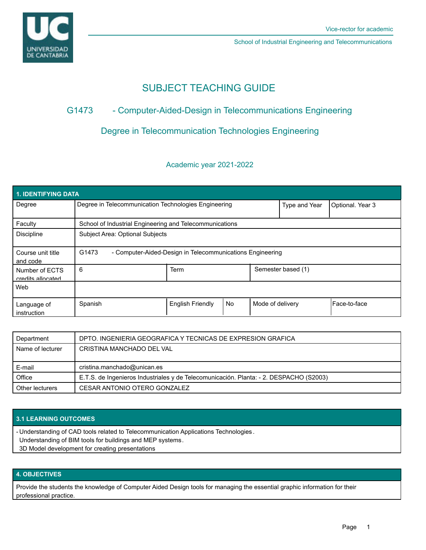

School of Industrial Engineering and Telecommunications

# SUBJECT TEACHING GUIDE

## G1473 - Computer-Aided-Design in Telecommunications Engineering

## Degree in Telecommunication Technologies Engineering

### Academic year 2021-2022

| 1. IDENTIFYING DATA                 |                                                                    |                         |           |                    |                  |              |  |  |  |
|-------------------------------------|--------------------------------------------------------------------|-------------------------|-----------|--------------------|------------------|--------------|--|--|--|
| Degree                              | Degree in Telecommunication Technologies Engineering               |                         |           | Type and Year      | Optional. Year 3 |              |  |  |  |
| Faculty                             | School of Industrial Engineering and Telecommunications            |                         |           |                    |                  |              |  |  |  |
| <b>Discipline</b>                   | Subject Area: Optional Subjects                                    |                         |           |                    |                  |              |  |  |  |
| Course unit title<br>and code       | G1473<br>- Computer-Aided-Design in Telecommunications Engineering |                         |           |                    |                  |              |  |  |  |
| Number of ECTS<br>credits allocated | 6                                                                  | Term                    |           | Semester based (1) |                  |              |  |  |  |
| Web                                 |                                                                    |                         |           |                    |                  |              |  |  |  |
| Language of<br>instruction          | Spanish                                                            | <b>English Friendly</b> | <b>No</b> | Mode of delivery   |                  | Face-to-face |  |  |  |

| Department       | DPTO. INGENIERIA GEOGRAFICA Y TECNICAS DE EXPRESION GRAFICA                            |
|------------------|----------------------------------------------------------------------------------------|
| Name of lecturer | CRISTINA MANCHADO DEL VAL                                                              |
|                  |                                                                                        |
|                  |                                                                                        |
| E-mail           | cristina.manchado@unican.es                                                            |
| Office           | E.T.S. de Ingenieros Industriales y de Telecomunicación. Planta: - 2. DESPACHO (S2003) |

### **3.1 LEARNING OUTCOMES**

Understanding of CAD tools related to Telecommunication Applications Technologies . -

- Understanding of BIM tools for buildings and MEP systems.
- 3D Model development for creating presentations

#### **4. OBJECTIVES**

Provide the students the knowledge of Computer Aided Design tools for managing the essential graphic information for their professional practice.